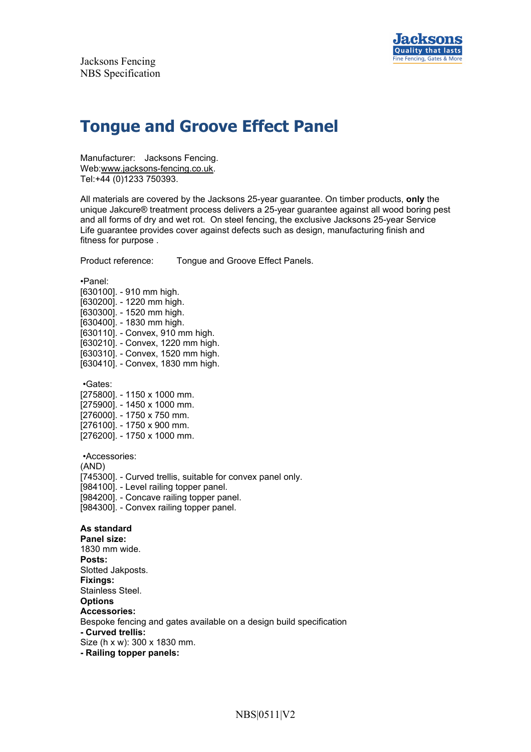

# **Tongue and Groove Effect Panel**

Manufacturer: Jacksons Fencing. Web:www.jacksons-fencing.co.uk. Tel:+44 (0)1233 750393.

All materials are covered by the Jacksons 25-year guarantee. On timber products, **only** the unique Jakcure® treatment process delivers a 25-year guarantee against all wood boring pest and all forms of dry and wet rot. On steel fencing, the exclusive Jacksons 25-year Service Life guarantee provides cover against defects such as design, manufacturing finish and fitness for purpose .

Product reference: Tongue and Groove Effect Panels.

•Panel:

[630100]. - 910 mm high. [630200]. - 1220 mm high. [630300]. - 1520 mm high. [630400]. - 1830 mm high. [630110]. - Convex, 910 mm high. [630210]. - Convex, 1220 mm high. [630310]. - Convex, 1520 mm high. [630410]. - Convex, 1830 mm high.

•Gates:

[275800]. - 1150 x 1000 mm. [275900]. - 1450 x 1000 mm. [276000]. - 1750 x 750 mm. [276100]. - 1750 x 900 mm. [276200]. - 1750 x 1000 mm.

•Accessories:

(AND)

[745300]. - Curved trellis, suitable for convex panel only.

[984100]. - Level railing topper panel.

[984200]. - Concave railing topper panel.

[984300]. - Convex railing topper panel.

#### **As standard**

**Panel size:** 1830 mm wide. **Posts:** Slotted Jakposts. **Fixings:** Stainless Steel. **Options Accessories:** Bespoke fencing and gates available on a design build specification **- Curved trellis:** Size (h x w): 300 x 1830 mm. **- Railing topper panels:**